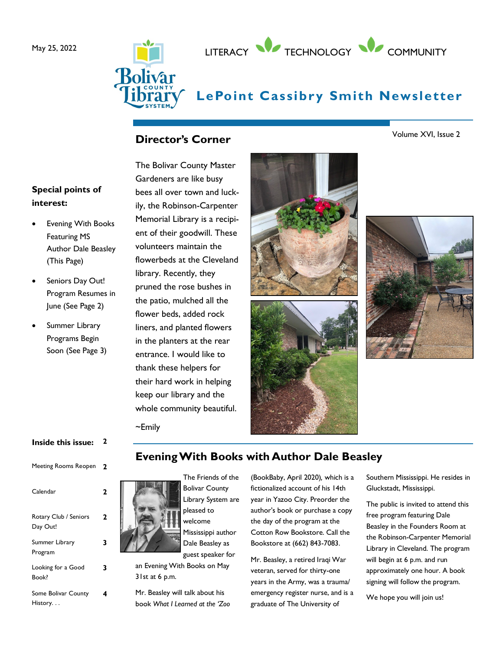



# **LePoint Cassibry Smith Newsletter**

## **Director's Corner**

**Special points of interest:**

- **Evening With Books** Featuring MS Author Dale Beasley (This Page)
- Seniors Day Out! Program Resumes in June (See Page 2)
- Summer Library Programs Begin Soon (See Page 3)

The Bolivar County Master Gardeners are like busy bees all over town and luckily, the Robinson-Carpenter Memorial Library is a recipient of their goodwill. These volunteers maintain the flowerbeds at the Cleveland library. Recently, they pruned the rose bushes in the patio, mulched all the flower beds, added rock liners, and planted flowers in the planters at the rear entrance. I would like to thank these helpers for their hard work in helping keep our library and the whole community beautiful.







~Emily

### **Inside this issue: 2** Meeting Rooms Reopen **2** Calendar **2** Rotary Club / Seniors Day Out! **2** Summer Library Program **3** Looking for a Good Book? **3** Some Bolivar County History. . . **4**

# **Evening With Books with Author Dale Beasley**



Bolivar County Library System are pleased to Mississippi author Dale Beasley as

an Evening With Books on May 31st at 6 p.m.

Mr. Beasley will talk about his book *What I Learned at the 'Zoo* 

(BookBaby, April 2020)*,* which is a fictionalized account of his 14th year in Yazoo City. Preorder the author's book or purchase a copy the day of the program at the Cotton Row Bookstore. Call the Bookstore at (662) 843-7083.

Mr. Beasley, a retired Iraqi War veteran, served for thirty-one years in the Army, was a trauma/ emergency register nurse, and is a graduate of The University of

Southern Mississippi. He resides in Gluckstadt, Mississippi.

The public is invited to attend this free program featuring Dale Beasley in the Founders Room at the Robinson-Carpenter Memorial Library in Cleveland. The program will begin at 6 p.m. and run approximately one hour. A book signing will follow the program.

We hope you will join us!

Volume XVI, Issue 2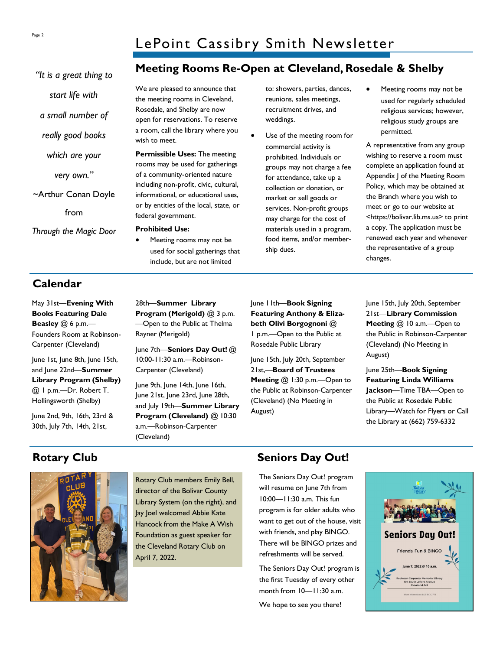*"It is a great thing to* 

*start life with*

*a small number of* 

*really good books* 

*which are your*

*very own."*

~Arthur Conan Doyle

from

*Through the Magic Door* 

# **Meeting Rooms Re-Open at Cleveland, Rosedale & Shelby**

We are pleased to announce that the meeting rooms in Cleveland, Rosedale, and Shelby are now open for reservations. To reserve a room, call the library where you wish to meet.

**Permissible Uses:** The meeting rooms may be used for gatherings of a community-oriented nature including non-profit, civic, cultural, informational, or educational uses, or by entities of the local, state, or federal government.

#### **Prohibited Use:**

• Meeting rooms may not be used for social gatherings that include, but are not limited

to: showers, parties, dances, reunions, sales meetings, recruitment drives, and weddings.

- Use of the meeting room for commercial activity is prohibited. Individuals or groups may not charge a fee for attendance, take up a collection or donation, or market or sell goods or services. Non-profit groups may charge for the cost of materials used in a program, food items, and/or membership dues.
- Meeting rooms may not be used for regularly scheduled religious services; however, religious study groups are permitted.

A representative from any group wishing to reserve a room must complete an application found at Appendix J of the Meeting Room Policy, which may be obtained at the Branch where you wish to meet or go to our website at <https://bolivar.lib.ms.us> to print a copy. The application must be renewed each year and whenever the representative of a group changes.

# **Calendar**

May 31st—**Evening With Books Featuring Dale Beasley** @ 6 p.m.— Founders Room at Robinson-Carpenter (Cleveland)

June 1st, June 8th, June 15th, and June 22nd—**Summer Library Program (Shelby)**  @ 1 p.m.—Dr. Robert T. Hollingsworth (Shelby)

June 2nd, 9th, 16th, 23rd & 30th, July 7th, 14th, 21st,

28th—**Summer Library Program (Merigold)** @ 3 p.m. —Open to the Public at Thelma Rayner (Merigold)

June 7th—**Seniors Day Out!** @ 10:00-11:30 a.m.—Robinson-Carpenter (Cleveland)

June 9th, June 14th, June 16th, June 21st, June 23rd, June 28th, and July 19th—**Summer Library Program (Cleveland)** @ 10:30 a.m.—Robinson-Carpenter (Cleveland)

June 11th—**Book Signing Featuring Anthony & Elizabeth Olivi Borgognoni** @ 1 p.m.—Open to the Public at Rosedale Public Library

June 15th, July 20th, September 21st,—**Board of Trustees Meeting @ 1:30 p.m. - Open to** the Public at Robinson-Carpenter (Cleveland) (No Meeting in August)

June 15th, July 20th, September 21st—**Library Commission Meeting** @ 10 a.m.—Open to the Public in Robinson-Carpenter (Cleveland) (No Meeting in August)

June 25th—**Book Signing Featuring Linda Williams Jackson**—Time TBA—Open to the Public at Rosedale Public Library—Watch for Flyers or Call the Library at (662) 759-6332

Rotary Club members Emily Bell, director of the Bolivar County Library System (on the right), and Jay Joel welcomed Abbie Kate Hancock from the Make A Wish Foundation as guest speaker for the Cleveland Rotary Club on April 7, 2022.

# **Rotary Club Seniors Day Out!**

The Seniors Day Out! program will resume on June 7th from 10:00—11:30 a.m. This fun program is for older adults who want to get out of the house, visit with friends, and play BINGO. There will be BINGO prizes and refreshments will be served.

The Seniors Day Out! program is the first Tuesday of every other month from 10—11:30 a.m.

We hope to see you there!



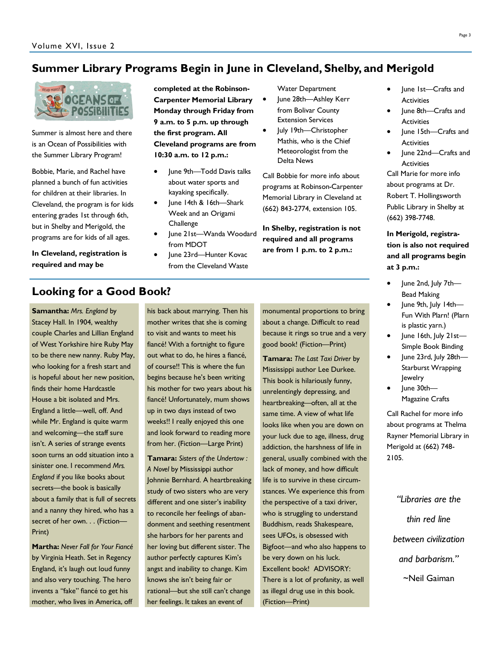## **Summer Library Programs Begin in June in Cleveland, Shelby, and Merigold**



Summer is almost here and there is an Ocean of Possibilities with the Summer Library Program!

Bobbie, Marie, and Rachel have planned a bunch of fun activities for children at their libraries. In Cleveland, the program is for kids entering grades 1st through 6th, but in Shelby and Merigold, the programs are for kids of all ages.

**In Cleveland, registration is required and may be** 

**completed at the Robinson-Carpenter Memorial Library Monday through Friday from 9 a.m. to 5 p.m. up through the first program. All Cleveland programs are from 10:30 a.m. to 12 p.m.:**

- June 9th—Todd Davis talks about water sports and kayaking specifically.
- June 14th & 16th-Shark Week and an Origami **Challenge**
- June 21st—Wanda Woodard from MDOT
	- June 23rd—Hunter Kovac from the Cleveland Waste

Water Department

- June 28th-Ashley Kerr from Bolivar County Extension Services
- July 19th—Christopher Mathis, who is the Chief Meteorologist from the Delta News

Call Bobbie for more info about programs at Robinson-Carpenter Memorial Library in Cleveland at (662) 843-2774, extension 105.

**In Shelby, registration is not required and all programs are from 1 p.m. to 2 p.m.:**

- June 1st-Crafts and **Activities**
- June 8th—Crafts and **Activities**
- June 15th—Crafts and **Activities**

• June 22nd—Crafts and **Activities** Call Marie for more info

about programs at Dr. Robert T. Hollingsworth Public Library in Shelby at (662) 398-7748.

**In Merigold, registration is also not required and all programs begin at 3 p.m.:**

- June 2nd, July 7th— Bead Making
- June 9th, July 14th— Fun With Plarn! (Plarn is plastic yarn.)
- June 16th, July 21st— Simple Book Binding
- June 23rd, July 28th— Starburst Wrapping Jewelry
- June 30th— Magazine Crafts

Call Rachel for more info about programs at Thelma Rayner Memorial Library in Merigold at (662) 748- 2105.

*"Libraries are the thin red line between civilization and barbarism."* ~Neil Gaiman

## **Looking for a Good Book?**

**Samantha:** *Mrs. England* by Stacey Hall. In 1904, wealthy couple Charles and Lillian England of West Yorkshire hire Ruby May to be there new nanny. Ruby May, who looking for a fresh start and is hopeful about her new position, finds their home Hardcastle House a bit isolated and Mrs. England a little—well, off. And while Mr. England is quite warm and welcoming—the staff sure isn't. A series of strange events soon turns an odd situation into a sinister one. I recommend *Mrs. England* if you like books about secrets—the book is basically about a family that is full of secrets and a nanny they hired, who has a secret of her own. . . (Fiction— Print)

**Martha:** *Never Fall for Your Fiancé* by Virginia Heath. Set in Regency England, it's laugh out loud funny and also very touching. The hero invents a "fake" fiancé to get his mother, who lives in America, off his back about marrying. Then his mother writes that she is coming to visit and wants to meet his fiancé! With a fortnight to figure out what to do, he hires a fiancé, of course!! This is where the fun begins because he's been writing his mother for two years about his fiancé! Unfortunately, mum shows up in two days instead of two weeks!! I really enjoyed this one and look forward to reading more from her. (Fiction—Large Print)

**Tamara:** *Sisters of the Undertow : A Novel* by Mississippi author Johnnie Bernhard. A heartbreaking study of two sisters who are very different and one sister's inability to reconcile her feelings of abandonment and seething resentment she harbors for her parents and her loving but different sister. The author perfectly captures Kim's angst and inability to change. Kim knows she isn't being fair or rational—but she still can't change her feelings. It takes an event of

monumental proportions to bring about a change. Difficult to read because it rings so true and a very good book! (Fiction—Print)

**Tamara:** *The Last Taxi Driver* by Mississippi author Lee Durkee. This book is hilariously funny, unrelentingly depressing, and heartbreaking—often, all at the same time. A view of what life looks like when you are down on your luck due to age, illness, drug addiction, the harshness of life in general, usually combined with the lack of money, and how difficult life is to survive in these circumstances. We experience this from the perspective of a taxi driver, who is struggling to understand Buddhism, reads Shakespeare, sees UFOs, is obsessed with Bigfoot—and who also happens to be very down on his luck. Excellent book! ADVISORY: There is a lot of profanity, as well as illegal drug use in this book. (Fiction—Print)